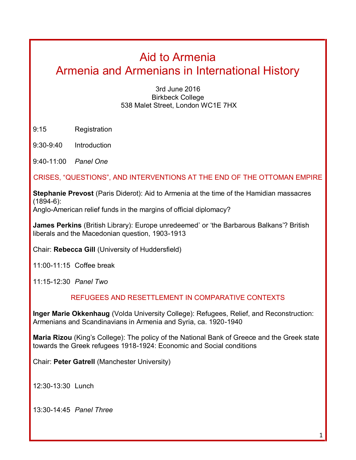# Aid to Armenia Armenia and Armenians in International History

3rd June 2016 Birkbeck College 538 Malet Street, London WC1E 7HX

9:15 Registration

9:30-9:40 Introduction

9:40-11:00 *Panel One* 

### CRISES, "QUESTIONS", AND INTERVENTIONS AT THE END OF THE OTTOMAN EMPIRE

**Stephanie Prevost** (Paris Diderot): Aid to Armenia at the time of the Hamidian massacres (1894-6):

Anglo-American relief funds in the margins of official diplomacy?

**James Perkins** (British Library): Europe unredeemed' or 'the Barbarous Balkans'? British liberals and the Macedonian question, 1903-1913

Chair: **Rebecca Gill** (University of Huddersfield)

11:00-11:15 Coffee break

11:15-12:30 *Panel Two*

#### REFUGEES AND RESETTLEMENT IN COMPARATIVE CONTEXTS

**Inger Marie Okkenhaug** (Volda University College): Refugees, Relief, and Reconstruction: Armenians and Scandinavians in Armenia and Syria, ca. 1920-1940

**Maria Rizou** (King's College): The policy of the National Bank of Greece and the Greek state towards the Greek refugees 1918-1924: Economic and Social conditions

Chair: **Peter Gatrell** (Manchester University)

12:30-13:30 Lunch

13:30-14:45 *Panel Three*